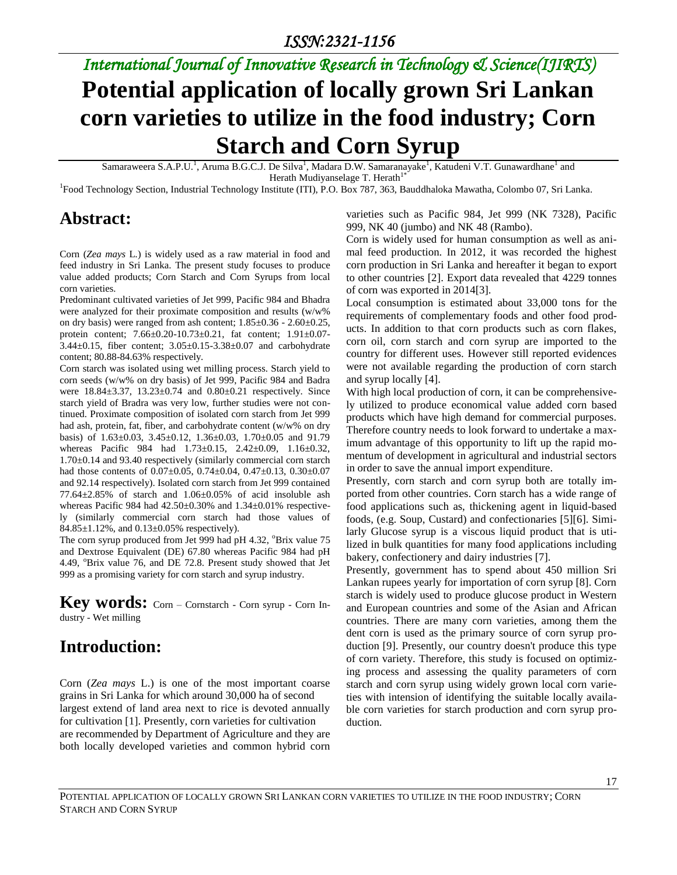# *International Journal of Innovative Research in Technology & Science(IJIRTS)*

# **Potential application of locally grown Sri Lankan corn varieties to utilize in the food industry; Corn Starch and Corn Syrup**

Samaraweera S.A.P.U.<sup>1</sup>, Aruma B.G.C.J. De Silva<sup>1</sup>, Madara D.W. Samaranayake<sup>1</sup>, Katudeni V.T. Gunawardhane<sup>1</sup> and Herath Mudiyanselage T. Herath $1^{\circ}$ 

<sup>1</sup>Food Technology Section, Industrial Technology Institute (ITI), P.O. Box 787, 363, Bauddhaloka Mawatha, Colombo 07, Sri Lanka.

### **Abstract:**

varieties such as Pacific 984, Jet 999 (NK 7328), Pacific 999, NK 40 (jumbo) and NK 48 (Rambo).

Corn (*Zea mays* L*.*) is widely used as a raw material in food and feed industry in Sri Lanka. The present study focuses to produce value added products; Corn Starch and Corn Syrups from local corn varieties.

Predominant cultivated varieties of Jet 999, Pacific 984 and Bhadra were analyzed for their proximate composition and results (w/w% on dry basis) were ranged from ash content; 1.85±0.36 - 2.60±0.25, protein content; 7.66±0.20-10.73±0.21, fat content; 1.91±0.07- 3.44±0.15, fiber content; 3.05±0.15-3.38±0.07 and carbohydrate content; 80.88-84.63% respectively.

Corn starch was isolated using wet milling process. Starch yield to corn seeds (w/w% on dry basis) of Jet 999, Pacific 984 and Badra were 18.84±3.37, 13.23±0.74 and 0.80±0.21 respectively. Since starch yield of Bradra was very low, further studies were not continued. Proximate composition of isolated corn starch from Jet 999 had ash, protein, fat, fiber, and carbohydrate content (w/w% on dry basis) of 1.63±0.03, 3.45±0.12, 1.36±0.03, 1.70±0.05 and 91.79 whereas Pacific 984 had 1.73±0.15, 2.42±0.09, 1.16±0.32, 1.70±0.14 and 93.40 respectively (similarly commercial corn starch had those contents of 0.07±0.05, 0.74±0.04, 0.47±0.13, 0.30±0.07 and 92.14 respectively). Isolated corn starch from Jet 999 contained  $77.64 \pm 2.85\%$  of starch and  $1.06 \pm 0.05\%$  of acid insoluble ash whereas Pacific 984 had  $42.50\pm0.30\%$  and  $1.34\pm0.01\%$  respectively (similarly commercial corn starch had those values of 84.85±1.12%, and 0.13±0.05% respectively).

The corn syrup produced from Jet 999 had pH 4.32, <sup>o</sup>Brix value 75 and Dextrose Equivalent (DE) 67.80 whereas Pacific 984 had pH 4.49, <sup>o</sup>Brix value 76, and DE 72.8. Present study showed that Jet 999 as a promising variety for corn starch and syrup industry.

Key **WOrds:** Corn – Cornstarch - Corn syrup - Corn Industry - Wet milling

# **Introduction:**

Corn (*Zea mays* L.) is one of the most important coarse grains in Sri Lanka for which around 30,000 ha of second largest extend of land area next to rice is devoted annually for cultivation [1]. Presently, corn varieties for cultivation are recommended by Department of Agriculture and they are both locally developed varieties and common hybrid corn

Corn is widely used for human consumption as well as animal feed production. In 2012, it was recorded the highest corn production in Sri Lanka and hereafter it began to export to other countries [2]. Export data revealed that 4229 tonnes of corn was exported in 2014[3].

Local consumption is estimated about 33,000 tons for the requirements of complementary foods and other food products. In addition to that corn products such as corn flakes, corn oil, corn starch and corn syrup are imported to the country for different uses. However still reported evidences were not available regarding the production of corn starch and syrup locally [4].

With high local production of corn, it can be comprehensively utilized to produce economical value added corn based products which have high demand for commercial purposes. Therefore country needs to look forward to undertake a maximum advantage of this opportunity to lift up the rapid momentum of development in agricultural and industrial sectors in order to save the annual import expenditure.

Presently, corn starch and corn syrup both are totally imported from other countries. Corn starch has a wide range of food applications such as, thickening agent in liquid-based foods, (e.g. Soup, Custard) and confectionaries [5][6]. Similarly Glucose syrup is a viscous liquid product that is utilized in bulk quantities for many food applications including bakery, confectionery and dairy industries [7].

Presently, government has to spend about 450 million Sri Lankan rupees yearly for importation of corn syrup [8]. Corn starch is widely used to produce glucose product in Western and European countries and some of the Asian and African countries. There are many corn varieties, among them the dent corn is used as the primary source of corn syrup production [9]. Presently, our country doesn't produce this type of corn variety. Therefore, this study is focused on optimizing process and assessing the quality parameters of corn starch and corn syrup using widely grown local corn varieties with intension of identifying the suitable locally available corn varieties for starch production and corn syrup production.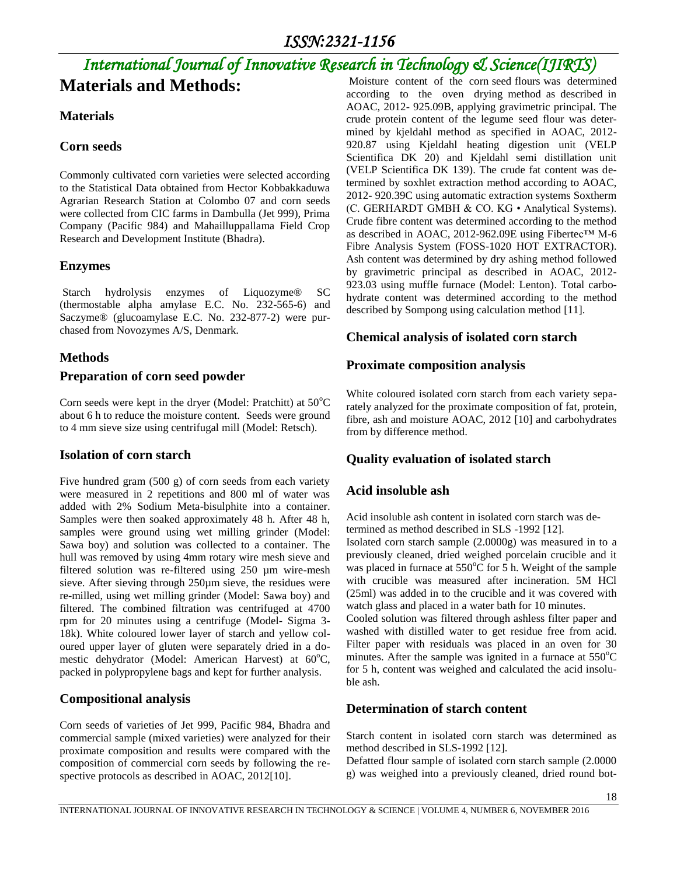# *International Journal of Innovative Research in Technology & Science(IJIRTS)* **Materials and Methods:**

### **Materials**

### **Corn seeds**

Commonly cultivated corn varieties were selected according to the Statistical Data obtained from Hector Kobbakkaduwa Agrarian Research Station at Colombo 07 and corn seeds were collected from CIC farms in Dambulla (Jet 999), Prima Company (Pacific 984) and Mahailluppallama Field Crop Research and Development Institute (Bhadra).

### **Enzymes**

Starch hydrolysis enzymes of Liquozyme® SC (thermostable alpha amylase E.C. No. 232-565-6) and Saczyme® (glucoamylase E.C. No. 232-877-2) were purchased from Novozymes A/S, Denmark.

### **Methods**

### **Preparation of corn seed powder**

Corn seeds were kept in the dryer (Model: Pratchitt) at  $50^{\circ}$ C about 6 h to reduce the moisture content. Seeds were ground to 4 mm sieve size using centrifugal mill (Model: Retsch).

### **Isolation of corn starch**

Five hundred gram (500 g) of corn seeds from each variety were measured in 2 repetitions and 800 ml of water was added with 2% Sodium Meta-bisulphite into a container. Samples were then soaked approximately 48 h. After 48 h, samples were ground using wet milling grinder (Model: Sawa boy) and solution was collected to a container. The hull was removed by using 4mm rotary wire mesh sieve and filtered solution was re-filtered using 250 µm wire-mesh sieve. After sieving through 250µm sieve, the residues were re-milled, using wet milling grinder (Model: Sawa boy) and filtered. The combined filtration was centrifuged at 4700 rpm for 20 minutes using a centrifuge (Model- Sigma 3- 18k). White coloured lower layer of starch and yellow coloured upper layer of gluten were separately dried in a domestic dehydrator (Model: American Harvest) at  $60^{\circ}$ C, packed in polypropylene bags and kept for further analysis.

### **Compositional analysis**

Corn seeds of varieties of Jet 999, Pacific 984, Bhadra and commercial sample (mixed varieties) were analyzed for their proximate composition and results were compared with the composition of commercial corn seeds by following the respective protocols as described in AOAC, 2012[10].

Moisture content of the corn seed flours was determined according to the oven drying method as described in AOAC, 2012- 925.09B, applying gravimetric principal. The crude protein content of the legume seed flour was determined by kjeldahl method as specified in AOAC, 2012- 920.87 using Kjeldahl heating digestion unit (VELP Scientifica DK 20) and Kjeldahl semi distillation unit (VELP Scientifica DK 139). The crude fat content was determined by soxhlet extraction method according to AOAC, 2012- 920.39C using automatic extraction systems Soxtherm (C. GERHARDT GMBH & CO. KG • Analytical Systems). Crude fibre content was determined according to the method as described in AOAC, 2012-962.09E using Fibertec™ M-6 Fibre Analysis System (FOSS-1020 HOT EXTRACTOR). Ash content was determined by dry ashing method followed by gravimetric principal as described in AOAC, 2012- 923.03 using muffle furnace (Model: Lenton). Total carbohydrate content was determined according to the method described by Sompong using calculation method [11].

### **Chemical analysis of isolated corn starch**

### **Proximate composition analysis**

White coloured isolated corn starch from each variety separately analyzed for the proximate composition of fat, protein, fibre, ash and moisture AOAC, 2012 [10] and carbohydrates from by difference method.

### **Quality evaluation of isolated starch**

### **Acid insoluble ash**

Acid insoluble ash content in isolated corn starch was determined as method described in SLS -1992 [12].

Isolated corn starch sample (2.0000g) was measured in to a previously cleaned, dried weighed porcelain crucible and it was placed in furnace at  $550^{\circ}$ C for 5 h. Weight of the sample with crucible was measured after incineration. 5M HCl (25ml) was added in to the crucible and it was covered with watch glass and placed in a water bath for 10 minutes.

Cooled solution was filtered through ashless filter paper and washed with distilled water to get residue free from acid. Filter paper with residuals was placed in an oven for 30 minutes. After the sample was ignited in a furnace at  $550^{\circ}$ C for 5 h, content was weighed and calculated the acid insoluble ash.

### **Determination of starch content**

Starch content in isolated corn starch was determined as method described in SLS-1992 [12].

Defatted flour sample of isolated corn starch sample (2.0000 g) was weighed into a previously cleaned, dried round bot-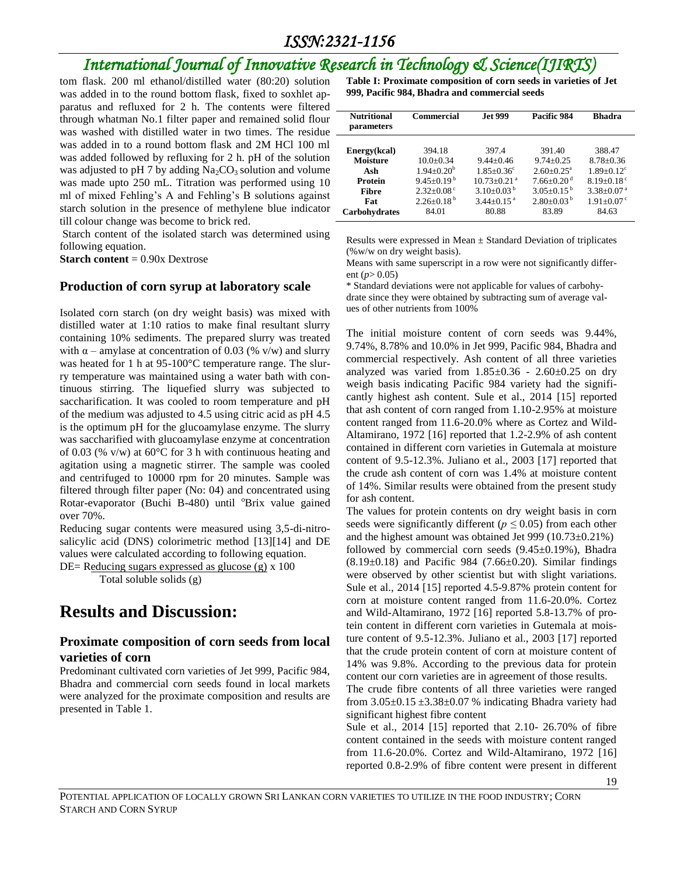### *ISSN:2321-1156*

# *International Journal of Innovative Research in Technology & Science(IJIRTS)*

tom flask. 200 ml ethanol/distilled water (80:20) solution was added in to the round bottom flask, fixed to soxhlet apparatus and refluxed for 2 h. The contents were filtered through whatman No.1 filter paper and remained solid flour was washed with distilled water in two times. The residue was added in to a round bottom flask and 2M HCl 100 ml was added followed by refluxing for 2 h. pH of the solution was adjusted to pH 7 by adding  $Na<sub>2</sub>CO<sub>3</sub>$  solution and volume was made upto 250 mL. Titration was performed using 10 ml of mixed Fehling's A and Fehling's B solutions against starch solution in the presence of methylene blue indicator till colour change was become to brick red.

Starch content of the isolated starch was determined using following equation.

**Starch content** = 0.90x Dextrose

#### **Production of corn syrup at laboratory scale**

Isolated corn starch (on dry weight basis) was mixed with distilled water at 1:10 ratios to make final resultant slurry containing 10% sediments. The prepared slurry was treated with  $\alpha$  – amylase at concentration of 0.03 (% v/w) and slurry was heated for 1 h at 95-100°C temperature range. The slurry temperature was maintained using a water bath with continuous stirring. The liquefied slurry was subjected to saccharification. It was cooled to room temperature and pH of the medium was adjusted to 4.5 using citric acid as pH 4.5 is the optimum pH for the glucoamylase enzyme. The slurry was saccharified with glucoamylase enzyme at concentration of 0.03 (% v/w) at  $60^{\circ}$ C for 3 h with continuous heating and agitation using a magnetic stirrer. The sample was cooled and centrifuged to 10000 rpm for 20 minutes. Sample was filtered through filter paper (No: 04) and concentrated using Rotar-evaporator (Buchi B-480) until <sup>o</sup>Brix value gained over 70%.

Reducing sugar contents were measured using 3,5-di-nitrosalicylic acid (DNS) colorimetric method [13][14] and DE values were calculated according to following equation.

DE= Reducing sugars expressed as glucose (g) x 100 Total soluble solids (g)

### **Results and Discussion:**

#### **Proximate composition of corn seeds from local varieties of corn**

Predominant cultivated corn varieties of Jet 999, Pacific 984, Bhadra and commercial corn seeds found in local markets were analyzed for the proximate composition and results are presented in Table 1.

**Table I: Proximate composition of corn seeds in varieties of Jet 999, Pacific 984, Bhadra and commercial seeds**

| <b>Nutritional</b><br>parameters | Commercial                   | <b>Jet 999</b>                | Pacific 984                  | <b>Bhadra</b>                |
|----------------------------------|------------------------------|-------------------------------|------------------------------|------------------------------|
| Energy(kcal)                     | 394.18                       | 397.4                         | 391.40                       | 388.47                       |
| <b>Moisture</b>                  | $10.0 + 0.34$                | $9.44 + 0.46$                 | $9.74 + 0.25$                | $8.78 \pm 0.36$              |
| Ash                              | $1.94 + 0.20b$               | $1.85 + 0.36^c$               | $2.60+0.25^{\text{a}}$       | $1.89 + 0.12$ <sup>c</sup>   |
| <b>Protein</b>                   | $9.45+0.19^{b}$              | $10.73 \pm 0.21$ <sup>a</sup> | $7.66 \pm 0.20$ <sup>d</sup> | $8.19 + 0.18$ <sup>c</sup>   |
| <b>Fibre</b>                     | $2.32 \pm 0.08$ <sup>c</sup> | $3.10\pm0.03^{b}$             | $3.05 \pm 0.15^{b}$          | $3.38 \pm 0.07$ <sup>a</sup> |
| Fat                              | $2.26+0.18^{b}$              | $3.44 + 0.15$ <sup>a</sup>    | $2.80+0.03^{b}$              | $1.91 \pm 0.07$ <sup>c</sup> |
| <b>Carbohydrates</b>             | 84.01                        | 80.88                         | 83.89                        | 84.63                        |

Results were expressed in Mean  $\pm$  Standard Deviation of triplicates (%w/w on dry weight basis).

Means with same superscript in a row were not significantly different (*p*> 0.05)

\* Standard deviations were not applicable for values of carbohydrate since they were obtained by subtracting sum of average values of other nutrients from 100%

The initial moisture content of corn seeds was 9.44%, 9.74%, 8.78% and 10.0% in Jet 999, Pacific 984, Bhadra and commercial respectively. Ash content of all three varieties analyzed was varied from  $1.85 \pm 0.36$  -  $2.60 \pm 0.25$  on dry weigh basis indicating Pacific 984 variety had the significantly highest ash content. Sule et al., 2014 [15] reported that ash content of corn ranged from 1.10-2.95% at moisture content ranged from 11.6-20.0% where as Cortez and Wild-Altamirano, 1972 [16] reported that 1.2-2.9% of ash content contained in different corn varieties in Gutemala at moisture content of 9.5-12.3%. Juliano et al., 2003 [17] reported that the crude ash content of corn was 1.4% at moisture content of 14%. Similar results were obtained from the present study for ash content.

The values for protein contents on dry weight basis in corn seeds were significantly different ( $p \leq 0.05$ ) from each other and the highest amount was obtained Jet 999 (10.73±0.21%) followed by commercial corn seeds  $(9.45\pm0.19\%)$ , Bhadra  $(8.19\pm0.18)$  and Pacific 984 (7.66 $\pm$ 0.20). Similar findings were observed by other scientist but with slight variations. Sule et al., 2014 [15] reported 4.5-9.87% protein content for corn at moisture content ranged from 11.6-20.0%. Cortez and Wild-Altamirano, 1972 [16] reported 5.8-13.7% of protein content in different corn varieties in Gutemala at moisture content of 9.5-12.3%. Juliano et al., 2003 [17] reported that the crude protein content of corn at moisture content of 14% was 9.8%. According to the previous data for protein content our corn varieties are in agreement of those results.

The crude fibre contents of all three varieties were ranged from  $3.05\pm0.15\pm3.38\pm0.07$  % indicating Bhadra variety had significant highest fibre content

Sule et al., 2014 [15] reported that 2.10- 26.70% of fibre content contained in the seeds with moisture content ranged from 11.6-20.0%. Cortez and Wild-Altamirano, 1972 [16] reported 0.8-2.9% of fibre content were present in different

19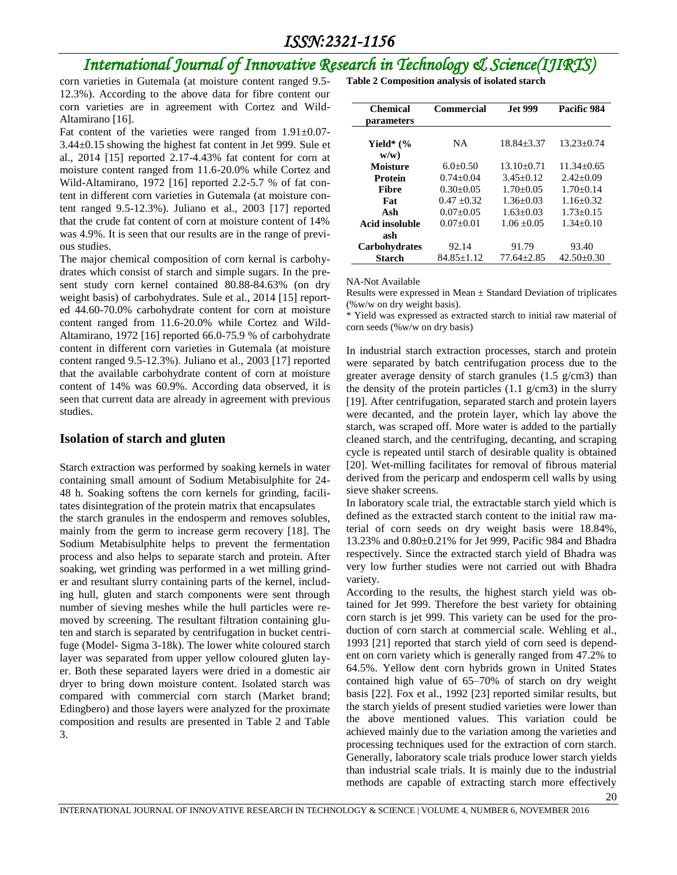# *International Journal of Innovative Research in Technology & Science(IJIRTS)*

corn varieties in Gutemala (at moisture content ranged 9.5- 12.3%). According to the above data for fibre content our corn varieties are in agreement with Cortez and Wild-Altamirano [16].

Fat content of the varieties were ranged from 1.91±0.07- 3.44±0.15 showing the highest fat content in Jet 999. Sule et al., 2014 [15] reported 2.17-4.43% fat content for corn at moisture content ranged from 11.6-20.0% while Cortez and Wild-Altamirano, 1972 [16] reported 2.2-5.7 % of fat content in different corn varieties in Gutemala (at moisture content ranged 9.5-12.3%). Juliano et al., 2003 [17] reported that the crude fat content of corn at moisture content of 14% was 4.9%. It is seen that our results are in the range of previous studies.

The major chemical composition of corn kernal is carbohydrates which consist of starch and simple sugars. In the present study corn kernel contained 80.88-84.63% (on dry weight basis) of carbohydrates. Sule et al., 2014 [15] reported 44.60-70.0% carbohydrate content for corn at moisture content ranged from 11.6-20.0% while Cortez and Wild-Altamirano, 1972 [16] reported 66.0-75.9 % of carbohydrate content in different corn varieties in Gutemala (at moisture content ranged 9.5-12.3%). Juliano et al., 2003 [17] reported that the available carbohydrate content of corn at moisture content of 14% was 60.9%. According data observed, it is seen that current data are already in agreement with previous studies.

#### **Isolation of starch and gluten**

Starch extraction was performed by soaking kernels in water containing small amount of Sodium Metabisulphite for 24- 48 h. Soaking softens the corn kernels for grinding, facilitates disintegration of the protein matrix that encapsulates

the starch granules in the endosperm and removes solubles, mainly from the germ to increase germ recovery [18]. The Sodium Metabisulphite helps to prevent the fermentation process and also helps to separate starch and protein. After soaking, wet grinding was performed in a wet milling grinder and resultant slurry containing parts of the kernel, including hull, gluten and starch components were sent through number of sieving meshes while the hull particles were removed by screening. The resultant filtration containing gluten and starch is separated by centrifugation in bucket centrifuge (Model- Sigma 3-18k). The lower white coloured starch layer was separated from upper yellow coloured gluten layer. Both these separated layers were dried in a domestic air dryer to bring down moisture content. Isolated starch was compared with commercial corn starch (Market brand; Edingbero) and those layers were analyzed for the proximate composition and results are presented in Table 2 and Table 3.

**Table 2 Composition analysis of isolated starch** 

| Chemical<br>parameters  | <b>Commercial</b> | <b>Jet 999</b> | Pacific 984      |
|-------------------------|-------------------|----------------|------------------|
| Yield* $(\%$<br>$w/w$ ) | NΑ                | $18.84 + 3.37$ | $13.23 + 0.74$   |
| Moisture                | $6.0+0.50$        | $13.10 + 0.71$ | $11.34 + 0.65$   |
| Protein                 | $0.74 + 0.04$     | $3.45 + 0.12$  | $2.42+0.09$      |
| Fibre                   | $0.30 + 0.05$     | $1.70 + 0.05$  | $1.70+0.14$      |
| Fat                     | $0.47 + 0.32$     | $1.36 + 0.03$  | $1.16 + 0.32$    |
| Ash                     | $0.07 + 0.05$     | $1.63 + 0.03$  | $1.73 + 0.15$    |
| Acid insoluble          | $0.07+0.01$       | $1.06 + 0.05$  | $1.34 + 0.10$    |
| ash                     |                   |                |                  |
| Carbohydrates           | 92.14             | 91.79          | 93.40            |
| <b>Starch</b>           | 84.85+1.12        | 77.64+2.85     | $42.50 \pm 0.30$ |

NA-Not Available

Results were expressed in Mean  $\pm$  Standard Deviation of triplicates (%w/w on dry weight basis).

\* Yield was expressed as extracted starch to initial raw material of corn seeds (%w/w on dry basis)

In industrial starch extraction processes, starch and protein were separated by batch centrifugation process due to the greater average density of starch granules (1.5 g/cm3) than the density of the protein particles  $(1.1 \text{ g/cm}^3)$  in the slurry [19]. After centrifugation, separated starch and protein layers were decanted, and the protein layer, which lay above the starch, was scraped off. More water is added to the partially cleaned starch, and the centrifuging, decanting, and scraping cycle is repeated until starch of desirable quality is obtained [20]. Wet-milling facilitates for removal of fibrous material derived from the pericarp and endosperm cell walls by using sieve shaker screens.

In laboratory scale trial, the extractable starch yield which is defined as the extracted starch content to the initial raw material of corn seeds on dry weight basis were 18.84%, 13.23% and 0.80±0.21% for Jet 999, Pacific 984 and Bhadra respectively. Since the extracted starch yield of Bhadra was very low further studies were not carried out with Bhadra variety.

According to the results, the highest starch yield was obtained for Jet 999. Therefore the best variety for obtaining corn starch is jet 999. This variety can be used for the production of corn starch at commercial scale. Wehling et al., 1993 [21] reported that starch yield of corn seed is dependent on corn variety which is generally ranged from 47.2% to 64.5%. Yellow dent corn hybrids grown in United States contained high value of 65–70% of starch on dry weight basis [22]. Fox et al., 1992 [23] reported similar results, but the starch yields of present studied varieties were lower than the above mentioned values. This variation could be achieved mainly due to the variation among the varieties and processing techniques used for the extraction of corn starch. Generally, laboratory scale trials produce lower starch yields than industrial scale trials. It is mainly due to the industrial methods are capable of extracting starch more effectively

20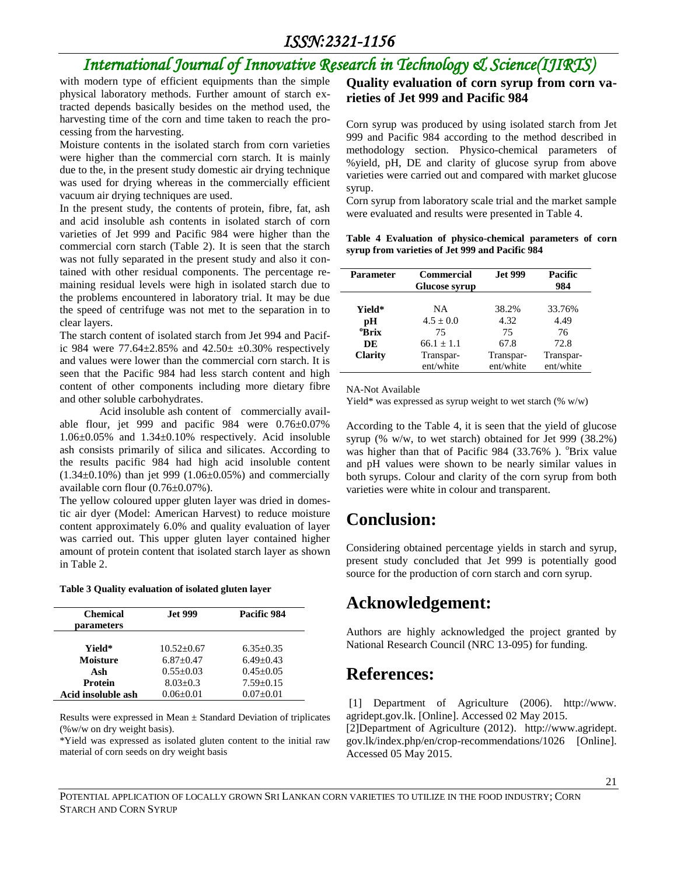# *International Journal of Innovative Research in Technology & Science(IJIRTS)*

with modern type of efficient equipments than the simple physical laboratory methods. Further amount of starch extracted depends basically besides on the method used, the harvesting time of the corn and time taken to reach the processing from the harvesting.

Moisture contents in the isolated starch from corn varieties were higher than the commercial corn starch. It is mainly due to the, in the present study domestic air drying technique was used for drying whereas in the commercially efficient vacuum air drying techniques are used.

In the present study, the contents of protein, fibre, fat, ash and acid insoluble ash contents in isolated starch of corn varieties of Jet 999 and Pacific 984 were higher than the commercial corn starch (Table 2). It is seen that the starch was not fully separated in the present study and also it contained with other residual components. The percentage remaining residual levels were high in isolated starch due to the problems encountered in laboratory trial. It may be due the speed of centrifuge was not met to the separation in to clear layers.

The starch content of isolated starch from Jet 994 and Pacific 984 were  $77.64 \pm 2.85\%$  and  $42.50 \pm 0.30\%$  respectively and values were lower than the commercial corn starch. It is seen that the Pacific 984 had less starch content and high content of other components including more dietary fibre and other soluble carbohydrates.

Acid insoluble ash content of commercially available flour, jet 999 and pacific 984 were 0.76±0.07% 1.06±0.05% and 1.34±0.10% respectively. Acid insoluble ash consists primarily of silica and silicates. According to the results pacific 984 had high acid insoluble content  $(1.34\pm0.10\%)$  than jet 999  $(1.06\pm0.05\%)$  and commercially available corn flour (0.76±0.07%).

The yellow coloured upper gluten layer was dried in domestic air dyer (Model: American Harvest) to reduce moisture content approximately 6.0% and quality evaluation of layer was carried out. This upper gluten layer contained higher amount of protein content that isolated starch layer as shown in Table 2.

#### **Table 3 Quality evaluation of isolated gluten layer**

| <b>Chemical</b><br>parameters | <b>Jet 999</b> | Pacific 984   |
|-------------------------------|----------------|---------------|
| Yield*                        | $10.52 + 0.67$ | $6.35 + 0.35$ |
| Moisture                      | $6.87+0.47$    | $6.49 + 0.43$ |
| Ash                           | $0.55+0.03$    | $0.45 + 0.05$ |
| Protein                       | $8.03 + 0.3$   | $7.59 + 0.15$ |
| Acid insoluble ash            | $0.06 + 0.01$  | $0.07 + 0.01$ |

Results were expressed in Mean  $\pm$  Standard Deviation of triplicates (%w/w on dry weight basis).

\*Yield was expressed as isolated gluten content to the initial raw material of corn seeds on dry weight basis

### **Quality evaluation of corn syrup from corn varieties of Jet 999 and Pacific 984**

Corn syrup was produced by using isolated starch from Jet 999 and Pacific 984 according to the method described in methodology section. Physico-chemical parameters of %yield, pH, DE and clarity of glucose syrup from above varieties were carried out and compared with market glucose syrup.

Corn syrup from laboratory scale trial and the market sample were evaluated and results were presented in Table 4.

#### **Table 4 Evaluation of physico-chemical parameters of corn syrup from varieties of Jet 999 and Pacific 984**

| <b>Parameter</b>                                          | <b>Commercial</b><br><b>Glucose syrup</b>                                | <b>Jet 999</b>                                        | Pacific<br>984                                         |
|-----------------------------------------------------------|--------------------------------------------------------------------------|-------------------------------------------------------|--------------------------------------------------------|
| Yield*<br>pН<br><sup>o</sup> Brix<br>DE<br><b>Clarity</b> | <b>NA</b><br>$4.5 + 0.0$<br>75<br>$66.1 + 1.1$<br>Transpar-<br>ent/white | 38.2%<br>4.32<br>75<br>67.8<br>Transpar-<br>ent/white | 33.76%<br>4.49<br>76<br>72.8<br>Transpar-<br>ent/white |

NA-Not Available

Yield\* was expressed as syrup weight to wet starch (% w/w)

According to the Table 4, it is seen that the yield of glucose syrup (% w/w, to wet starch) obtained for Jet 999 (38.2%) was higher than that of Pacific 984 (33.76%).  $^{\circ}$ Brix value and pH values were shown to be nearly similar values in both syrups. Colour and clarity of the corn syrup from both varieties were white in colour and transparent.

### **Conclusion:**

Considering obtained percentage yields in starch and syrup, present study concluded that Jet 999 is potentially good source for the production of corn starch and corn syrup.

### **Acknowledgement:**

Authors are highly acknowledged the project granted by National Research Council (NRC 13-095) for funding.

### **References:**

[1] Department of Agriculture (2006). http://www. agridept.gov.lk. [Online]. Accessed 02 May 2015.

[2]Department of Agriculture (2012). http://www.agridept. gov.lk/index.php/en/crop-recommendations/1026 [Online]. Accessed 05 May 2015.

POTENTIAL APPLICATION OF LOCALLY GROWN SRI LANKAN CORN VARIETIES TO UTILIZE IN THE FOOD INDUSTRY; CORN STARCH AND CORN SYRUP